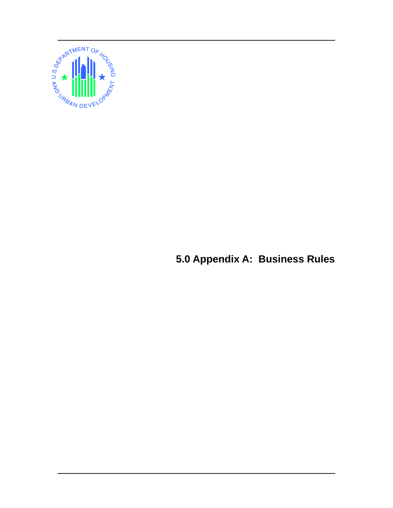

**5.0 Appendix A: Business Rules**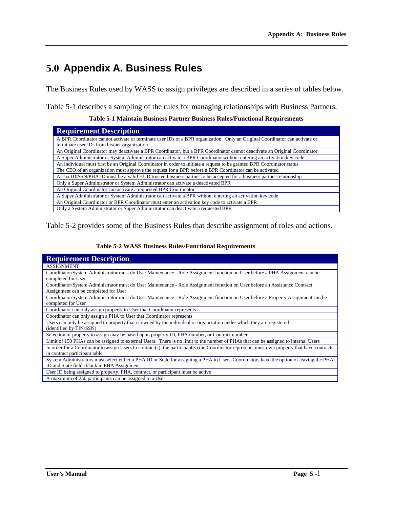## **5.0 Appendix A. Business Rules**

The Business Rules used by WASS to assign privileges are described in a series of tables below.

Table 5-1 describes a sampling of the rules for managing relationships with Business Partners.

**Table 5-1 Maintain Business Partner Business Rules/Functional Requirements** 

| <b>Requirement Description</b>                                                                                              |
|-----------------------------------------------------------------------------------------------------------------------------|
| A BPR Coordinator cannot activate or terminate user IDs of a BPR organization. Only an Original Coordinator can activate or |
| terminate user IDs from his/her organization                                                                                |
| An Original Coordinator may deactivate a BPR Coordinator, but a BPR Coordinator cannot deactivate an Original Coordinator   |
| A Super Administrator or System Administrator can activate a BPR Coordinator without entering an activation key code        |
| An individual must first be an Original Coordinator in order to initiate a request to be granted BPR Coordinator status     |
| The CEO of an organization must approve the request for a BPR before a BPR Coordinator can be activated                     |
| A Tax ID/SSN/PHA ID must be a valid HUD trusted business partner to be accepted for a business partner relationship         |
| Only a Super Administrator or System Administrator can activate a deactivated BPR                                           |
| An Original Coordinator can activate a requested BPR Coordinator                                                            |
| A Super Administrator or System Administrator can activate a BPR without entering an activation key code                    |
| An Original Coordinator or BPR Coordinator must enter an activation key code to activate a BPR                              |
| Only a System Administrator or Super Administrator can deactivate a requested BPR                                           |
|                                                                                                                             |

Table 5-2 provides some of the Business Rules that describe assignment of roles and actions.

| <b>Requirement Description</b>                                                                                                                                                         |
|----------------------------------------------------------------------------------------------------------------------------------------------------------------------------------------|
| <b>ASSIGNMENT</b>                                                                                                                                                                      |
| Coordinator/System Administrator must do User Maintenance - Role Assignment function on User before a PHA Assignment can be<br>completed for User                                      |
| Coordinator/System Administrator must do User Maintenance - Role Assignment function on User before an Assistance Contract<br>Assignment can be completed for User                     |
| Coordinator/System Administrator must do User Maintenance - Role Assignment function on User before a Property Assignment can be<br>completed for User                                 |
| Coordinator can only assign property to User that Coordinator represents                                                                                                               |
| Coordinator can only assign a PHA to User that Coordinator represents                                                                                                                  |
| Users can only be assigned to property that is owned by the individual or organization under which they are registered<br>(identified by TIN/SSN)                                      |
| Selection of property to assign may be based upon property ID, FHA number, or Contract number                                                                                          |
| Limit of 150 PHAs can be assigned to external Users. There is no limit to the number of PHAs that can be assigned to internal Users                                                    |
| In order for a Coordinator to assign Users to contract(s), the participant(s) the Coordinator represents must own property that have contracts<br>in contract participant table        |
| System Administrators must select either a PHA ID or State for assigning a PHA to User. Coordinators have the option of leaving the PHA<br>ID and State fields blank in PHA Assignment |
| User ID being assigned to property, PHA, contract, or participant must be active                                                                                                       |
| A maximum of 250 participants can be assigned to a User                                                                                                                                |

## **Table 5-2 WASS Business Rules/Functional Requirements**